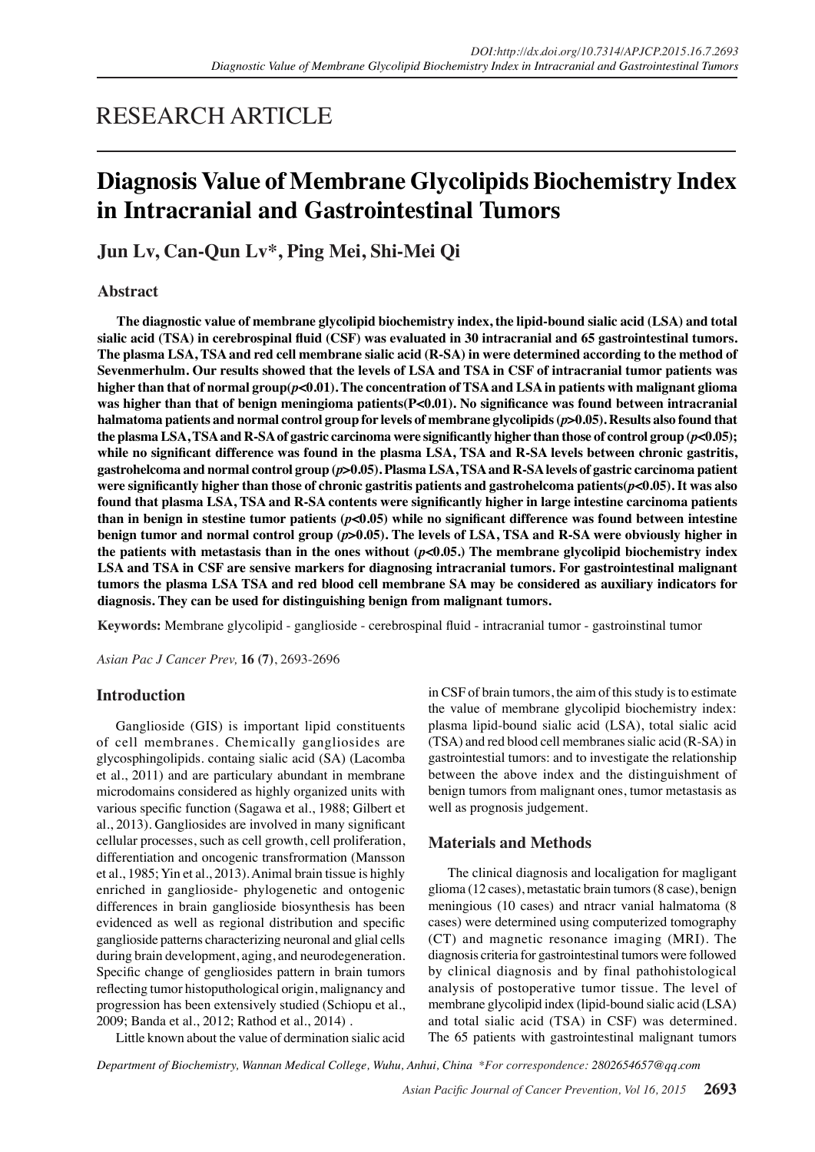# RESEARCH ARTICLE

# **Diagnosis Value of Membrane Glycolipids Biochemistry Index in Intracranial and Gastrointestinal Tumors**

**Jun Lv, Can-Qun Lv\*, Ping Mei, Shi-Mei Qi**

# **Abstract**

**The diagnostic value of membrane glycolipid biochemistry index, the lipid-bound sialic acid (LSA) and total sialic acid (TSA) in cerebrospinal fluid (CSF) was evaluated in 30 intracranial and 65 gastrointestinal tumors. The plasma LSA, TSA and red cell membrane sialic acid (R-SA) in were determined according to the method of Sevenmerhulm. Our results showed that the levels of LSA and TSA in CSF of intracranial tumor patients was higher than that of normal group(***p***<0.01). The concentration of TSA and LSA in patients with malignant glioma was higher than that of benign meningioma patients(P<0.01). No significance was found between intracranial halmatoma patients and normal control group for levels of membrane glycolipids (***p***>0.05). Results also found that the plasma LSA, TSA and R-SA of gastric carcinoma were significantly higher than those of control group (***p***<0.05); while no significant difference was found in the plasma LSA, TSA and R-SA levels between chronic gastritis, gastrohelcoma and normal control group (***p***>0.05). Plasma LSA, TSA and R-SA levels of gastric carcinoma patient were significantly higher than those of chronic gastritis patients and gastrohelcoma patients(***p***<0.05). It was also found that plasma LSA, TSA and R-SA contents were significantly higher in large intestine carcinoma patients than in benign in stestine tumor patients (***p***<0.05) while no significant difference was found between intestine benign tumor and normal control group (***p***>0.05). The levels of LSA, TSA and R-SA were obviously higher in the patients with metastasis than in the ones without (***p***<0.05.) The membrane glycolipid biochemistry index LSA and TSA in CSF are sensive markers for diagnosing intracranial tumors. For gastrointestinal malignant tumors the plasma LSA TSA and red blood cell membrane SA may be considered as auxiliary indicators for diagnosis. They can be used for distinguishing benign from malignant tumors.** 

**Keywords:** Membrane glycolipid - ganglioside - cerebrospinal fluid - intracranial tumor - gastroinstinal tumor

*Asian Pac J Cancer Prev,* **16 (7)**, 2693-2696

## **Introduction**

Ganglioside (GIS) is important lipid constituents of cell membranes. Chemically gangliosides are glycosphingolipids. containg sialic acid (SA) (Lacomba et al., 2011) and are particulary abundant in membrane microdomains considered as highly organized units with various specific function (Sagawa et al., 1988; Gilbert et al., 2013). Gangliosides are involved in many significant cellular processes, such as cell growth, cell proliferation, differentiation and oncogenic transfrormation (Mansson et al., 1985; Yin et al., 2013). Animal brain tissue is highly enriched in ganglioside- phylogenetic and ontogenic differences in brain ganglioside biosynthesis has been evidenced as well as regional distribution and specific ganglioside patterns characterizing neuronal and glial cells during brain development, aging, and neurodegeneration. Specific change of gengliosides pattern in brain tumors reflecting tumor histoputhological origin, malignancy and progression has been extensively studied (Schiopu et al., 2009; Banda et al., 2012; Rathod et al., 2014) .

in CSF of brain tumors, the aim of this study is to estimate the value of membrane glycolipid biochemistry index: plasma lipid-bound sialic acid (LSA), total sialic acid (TSA) and red blood cell membranes sialic acid (R-SA) in gastrointestial tumors: and to investigate the relationship between the above index and the distinguishment of benign tumors from malignant ones, tumor metastasis as well as prognosis judgement.

# **Materials and Methods**

The clinical diagnosis and localigation for magligant glioma (12 cases), metastatic brain tumors (8 case), benign meningious (10 cases) and ntracr vanial halmatoma (8 cases) were determined using computerized tomography (CT) and magnetic resonance imaging (MRI). The diagnosis criteria for gastrointestinal tumors were followed by clinical diagnosis and by final pathohistological analysis of postoperative tumor tissue. The level of membrane glycolipid index (lipid-bound sialic acid (LSA) and total sialic acid (TSA) in CSF) was determined. The 65 patients with gastrointestinal malignant tumors

Little known about the value of dermination sialic acid

*Department of Biochemistry, Wannan Medical College, Wuhu, Anhui, China \*For correspondence: 2802654657@qq.com*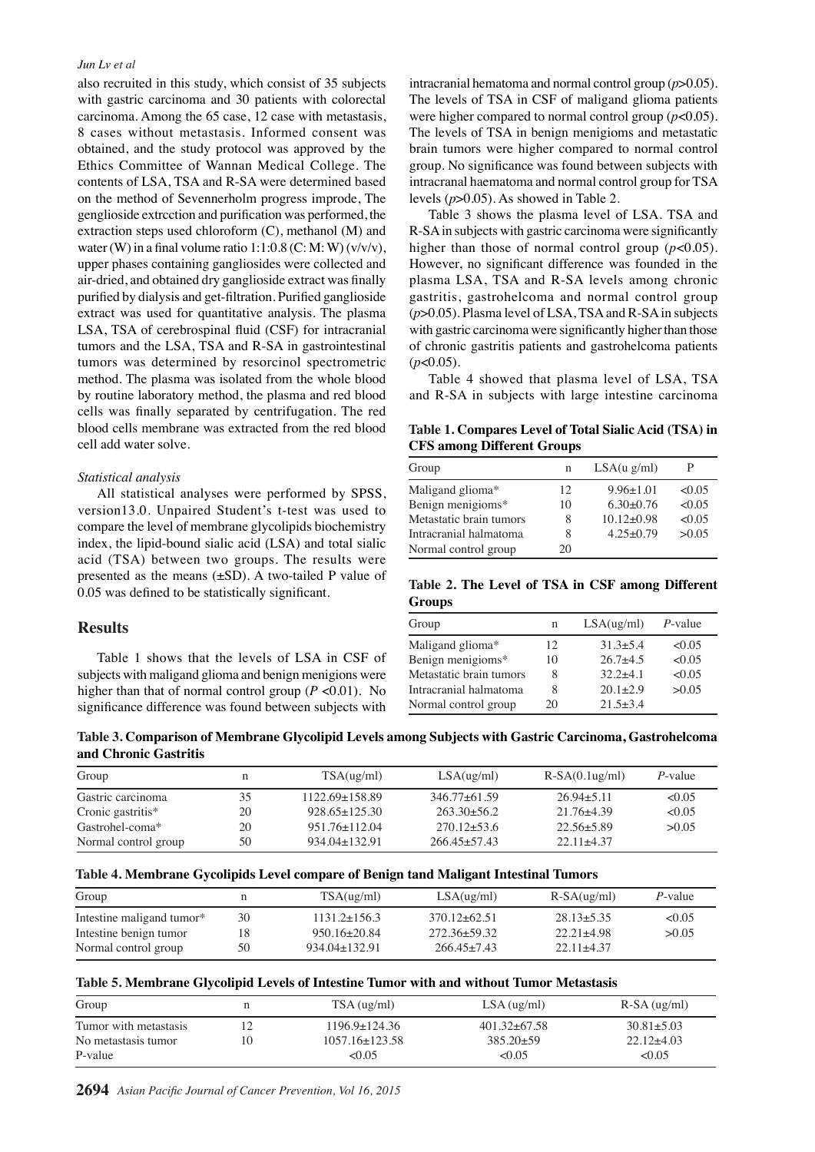#### *Jun Lv et al*

also recruited in this study, which consist of 35 subjects with gastric carcinoma and 30 patients with colorectal carcinoma. Among the 65 case, 12 case with metastasis, 8 cases without metastasis. Informed consent was obtained, and the study protocol was approved by the Ethics Committee of Wannan Medical College. The contents of LSA, TSA and R-SA were determined based on the method of Sevennerholm progress improde, The genglioside extrcction and purification was performed, the extraction steps used chloroform (C), methanol (M) and water (W) in a final volume ratio  $1:1:0.8$  (C: M: W) (v/v/v), upper phases containing gangliosides were collected and air-dried, and obtained dry ganglioside extract was finally purified by dialysis and get-filtration. Purified ganglioside extract was used for quantitative analysis. The plasma LSA, TSA of cerebrospinal fluid (CSF) for intracranial tumors and the LSA, TSA and R-SA in gastrointestinal tumors was determined by resorcinol spectrometric method. The plasma was isolated from the whole blood by routine laboratory method, the plasma and red blood cells was finally separated by centrifugation. The red blood cells membrane was extracted from the red blood cell add water solve.

### *Statistical analysis*

All statistical analyses were performed by SPSS, version13.0. Unpaired Student's t-test was used to compare the level of membrane glycolipids biochemistry index, the lipid-bound sialic acid (LSA) and total sialic acid (TSA) between two groups. The results were presented as the means (±SD). A two-tailed P value of 0.05 was defined to be statistically significant.

## **Results**

Table 1 shows that the levels of LSA in CSF of subjects with maligand glioma and benign menigions were higher than that of normal control group ( $P < 0.01$ ). No significance difference was found between subjects with

intracranial hematoma and normal control group (*p*>0.05). The levels of TSA in CSF of maligand glioma patients were higher compared to normal control group (*p*<0.05). The levels of TSA in benign menigioms and metastatic brain tumors were higher compared to normal control group. No significance was found between subjects with intracranal haematoma and normal control group for TSA levels (*p*>0.05). As showed in Table 2.

Table 3 shows the plasma level of LSA. TSA and R-SA in subjects with gastric carcinoma were significantly higher than those of normal control group  $(p<0.05)$ . However, no significant difference was founded in the plasma LSA, TSA and R-SA levels among chronic gastritis, gastrohelcoma and normal control group (*p*>0.05). Plasma level of LSA, TSA and R-SA in subjects with gastric carcinoma were significantly higher than those of chronic gastritis patients and gastrohelcoma patients  $(p<0.05)$ .

Table 4 showed that plasma level of LSA, TSA and R-SA in subjects with large intestine carcinoma

**Table 1. Compares Level of Total Sialic Acid (TSA) in CFS among Different Groups** 

| Group                   | n  | LSA(u g/ml)     |        |
|-------------------------|----|-----------------|--------|
| Maligand glioma*        | 12 | $9.96 \pm 1.01$ | < 0.05 |
| Benign menigioms*       | 10 | $6.30\pm0.76$   | < 0.05 |
| Metastatic brain tumors | 8  | $10.12 + 0.98$  | < 0.05 |
| Intracranial halmatoma  | 8  | $4.25+0.79$     | >0.05  |
| Normal control group    | 20 |                 |        |

**Table 2. The Level of TSA in CSF among Different Groups** 

| Group                   | n  | LSA(ug/ml)   | $P$ -value |
|-------------------------|----|--------------|------------|
| Maligand glioma*        | 12 | $31.3 + 5.4$ | < 0.05     |
| Benign menigioms*       | 10 | $26.7 + 4.5$ | < 0.05     |
| Metastatic brain tumors | 8  | $32.2 + 4.1$ | < 0.05     |
| Intracranial halmatoma  | 8  | $20.1 + 2.9$ | >0.05      |
| Normal control group    | 20 | $21.5 + 3.4$ |            |

| Table 3. Comparison of Membrane Glycolipid Levels among Subjects with Gastric Carcinoma, Gastrohelcoma |  |  |  |
|--------------------------------------------------------------------------------------------------------|--|--|--|
| and Chronic Gastritis                                                                                  |  |  |  |

| Group                |    | TSA(ug/ml)          | LSA(ug/ml)       | $R-SA(0.1ug/ml)$ | $P$ -value |
|----------------------|----|---------------------|------------------|------------------|------------|
| Gastric carcinoma    | 35 | $1122.69 + 158.89$  | $346.77 + 61.59$ | $26.94 + 5.11$   | <0.05      |
| Cronic gastritis*    | 20 | $928.65 \pm 125.30$ | $263.30+56.2$    | $21.76\pm4.39$   | <0.05      |
| Gastrohel-coma*      | 20 | $951.76 \pm 112.04$ | $270.12 + 53.6$  | $22.56 + 5.89$   | >0.05      |
| Normal control group | 50 | $934.04+132.91$     | $266.45 + 57.43$ | $22.11 + 4.37$   |            |

## **Table 4. Membrane Gycolipids Level compare of Benign tand Maligant Intestinal Tumors**

| Group                     |    | TSA(ug/ml)          | LSA(ug/ml)       | $R-SA(ug/ml)$  | $P$ -value |
|---------------------------|----|---------------------|------------------|----------------|------------|
| Intestine maligand tumor* | 30 | $1131.2\pm156.3$    | $370.12 + 62.51$ | $28.13 + 5.35$ | < 0.05     |
| Intestine benign tumor    | 18 | $950.16 \pm 20.84$  | $272.36 + 59.32$ | $22.21 + 4.98$ | >0.05      |
| Normal control group      | 50 | $934.04 \pm 132.91$ | $266.45 + 7.43$  | $22.11 + 4.37$ |            |

### **Table 5. Membrane Glycolipid Levels of Intestine Tumor with and without Tumor Metastasis**

| Group                 |    | TSA(ug/ml)           | LSA (ug/ml)      | $R-SA$ (ug/ml) |
|-----------------------|----|----------------------|------------------|----------------|
| Tumor with metastasis |    | $1196.9 \pm 124.36$  | $401.32 + 67.58$ | $30.81 + 5.03$ |
| No metastasis tumor   | 10 | $1057.16 \pm 123.58$ | $385.20 + 59$    | $22.12+4.03$   |
| P-value               |    | < 0.05               | < 0.05           | ${<}0.05$      |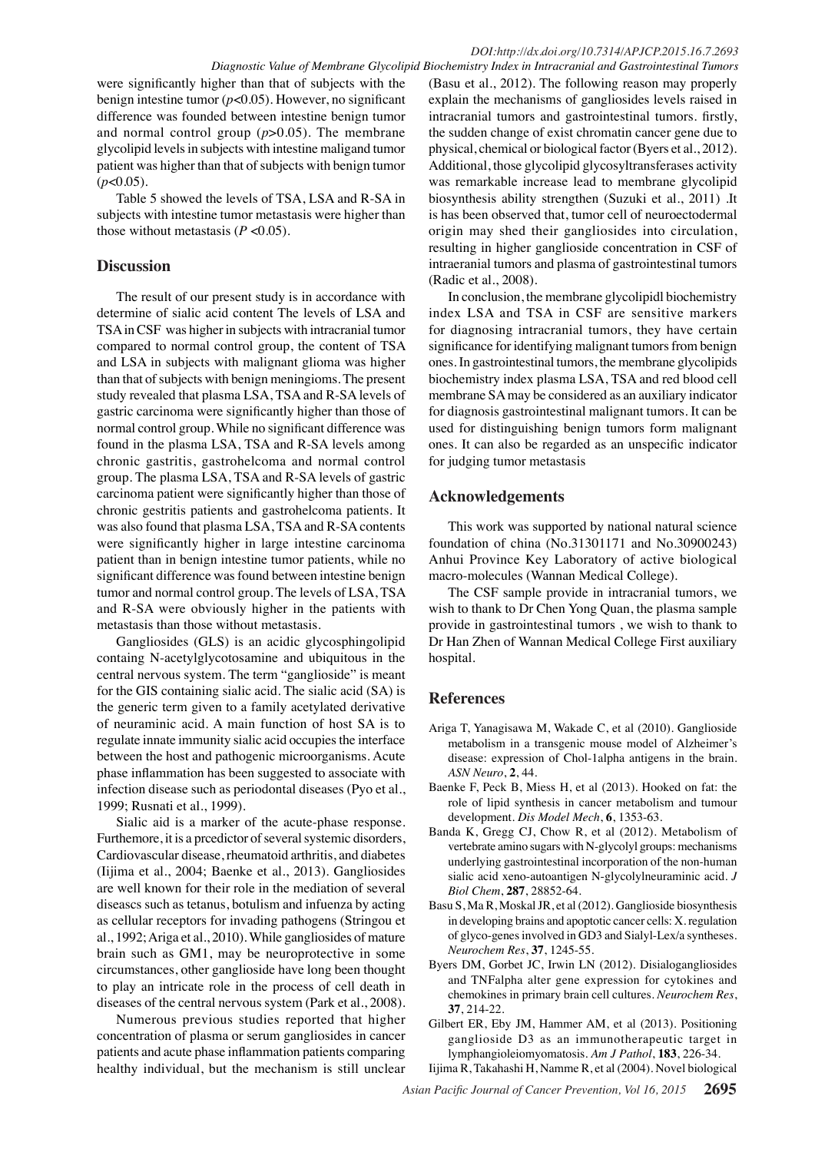were significantly higher than that of subjects with the benign intestine tumor (*p*<0.05). However, no significant difference was founded between intestine benign tumor and normal control group (*p*>0.05). The membrane glycolipid levels in subjects with intestine maligand tumor patient was higher than that of subjects with benign tumor (*p*<0.05).

Table 5 showed the levels of TSA, LSA and R-SA in subjects with intestine tumor metastasis were higher than those without metastasis  $(P < 0.05)$ .

## **Discussion**

The result of our present study is in accordance with determine of sialic acid content The levels of LSA and TSA in CSF was higher in subjects with intracranial tumor compared to normal control group, the content of TSA and LSA in subjects with malignant glioma was higher than that of subjects with benign meningioms. The present study revealed that plasma LSA, TSA and R-SA levels of gastric carcinoma were significantly higher than those of normal control group. While no significant difference was found in the plasma LSA, TSA and R-SA levels among chronic gastritis, gastrohelcoma and normal control group. The plasma LSA, TSA and R-SA levels of gastric carcinoma patient were significantly higher than those of chronic gestritis patients and gastrohelcoma patients. It was also found that plasma LSA, TSA and R-SA contents were significantly higher in large intestine carcinoma patient than in benign intestine tumor patients, while no significant difference was found between intestine benign tumor and normal control group. The levels of LSA, TSA and R-SA were obviously higher in the patients with metastasis than those without metastasis.

Gangliosides (GLS) is an acidic glycosphingolipid containg N-acetylglycotosamine and ubiquitous in the central nervous system. The term "ganglioside" is meant for the GIS containing sialic acid. The sialic acid (SA) is the generic term given to a family acetylated derivative of neuraminic acid. A main function of host SA is to regulate innate immunity sialic acid occupies the interface between the host and pathogenic microorganisms. Acute phase inflammation has been suggested to associate with infection disease such as periodontal diseases (Pyo et al., 1999; Rusnati et al., 1999).

Sialic aid is a marker of the acute-phase response. Furthemore, it is a prcedictor of several systemic disorders, Cardiovascular disease, rheumatoid arthritis, and diabetes (Iijima et al., 2004; Baenke et al., 2013). Gangliosides are well known for their role in the mediation of several diseascs such as tetanus, botulism and infuenza by acting as cellular receptors for invading pathogens (Stringou et al., 1992; Ariga et al., 2010). While gangliosides of mature brain such as GM1, may be neuroprotective in some circumstances, other ganglioside have long been thought to play an intricate role in the process of cell death in diseases of the central nervous system (Park et al., 2008).

Numerous previous studies reported that higher concentration of plasma or serum gangliosides in cancer patients and acute phase inflammation patients comparing healthy individual, but the mechanism is still unclear

(Basu et al., 2012). The following reason may properly explain the mechanisms of gangliosides levels raised in intracranial tumors and gastrointestinal tumors. firstly, the sudden change of exist chromatin cancer gene due to physical, chemical or biological factor (Byers et al., 2012). Additional, those glycolipid glycosyltransferases activity was remarkable increase lead to membrane glycolipid biosynthesis ability strengthen (Suzuki et al., 2011) .It is has been observed that, tumor cell of neuroectodermal origin may shed their gangliosides into circulation, resulting in higher ganglioside concentration in CSF of intraeranial tumors and plasma of gastrointestinal tumors (Radic et al., 2008).

In conclusion, the membrane glycolipidl biochemistry index LSA and TSA in CSF are sensitive markers for diagnosing intracranial tumors, they have certain significance for identifying malignant tumors from benign ones. In gastrointestinal tumors, the membrane glycolipids biochemistry index plasma LSA, TSA and red blood cell membrane SA may be considered as an auxiliary indicator for diagnosis gastrointestinal malignant tumors. It can be used for distinguishing benign tumors form malignant ones. It can also be regarded as an unspecific indicator for judging tumor metastasis

# **Acknowledgements**

This work was supported by national natural science foundation of china (No.31301171 and No.30900243) Anhui Province Key Laboratory of active biological macro-molecules (Wannan Medical College).

The CSF sample provide in intracranial tumors, we wish to thank to Dr Chen Yong Quan, the plasma sample provide in gastrointestinal tumors , we wish to thank to Dr Han Zhen of Wannan Medical College First auxiliary hospital.

# **References**

- Ariga T, Yanagisawa M, Wakade C, et al (2010). Ganglioside metabolism in a transgenic mouse model of Alzheimer's disease: expression of Chol-1alpha antigens in the brain. *ASN Neuro*, **2**, 44.
- Baenke F, Peck B, Miess H, et al (2013). Hooked on fat: the role of lipid synthesis in cancer metabolism and tumour development. *Dis Model Mech*, **6**, 1353-63.
- Banda K, Gregg CJ, Chow R, et al (2012). Metabolism of vertebrate amino sugars with N-glycolyl groups: mechanisms underlying gastrointestinal incorporation of the non-human sialic acid xeno-autoantigen N-glycolylneuraminic acid. *J Biol Chem*, **287**, 28852-64.
- Basu S, Ma R, Moskal JR, et al (2012). Ganglioside biosynthesis in developing brains and apoptotic cancer cells: X. regulation of glyco-genes involved in GD3 and Sialyl-Lex/a syntheses. *Neurochem Res*, **37**, 1245-55.
- Byers DM, Gorbet JC, Irwin LN (2012). Disialogangliosides and TNFalpha alter gene expression for cytokines and chemokines in primary brain cell cultures. *Neurochem Res*, **37**, 214-22.
- Gilbert ER, Eby JM, Hammer AM, et al (2013). Positioning ganglioside D3 as an immunotherapeutic target in lymphangioleiomyomatosis. *Am J Pathol*, **183**, 226-34.

Iijima R, Takahashi H, Namme R, et al (2004). Novel biological